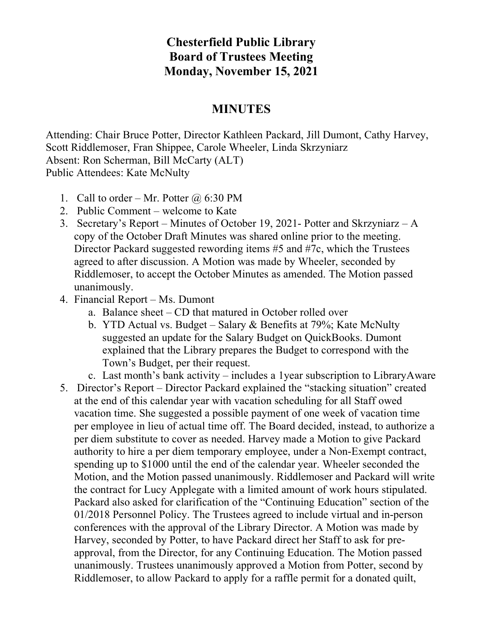## **Chesterfield Public Library Board of Trustees Meeting Monday, November 15, 2021**

## **MINUTES**

Attending: Chair Bruce Potter, Director Kathleen Packard, Jill Dumont, Cathy Harvey, Scott Riddlemoser, Fran Shippee, Carole Wheeler, Linda Skrzyniarz Absent: Ron Scherman, Bill McCarty (ALT) Public Attendees: Kate McNulty

- 1. Call to order Mr. Potter  $\omega$  6:30 PM
- 2. Public Comment welcome to Kate
- 3. Secretary's Report Minutes of October 19, 2021- Potter and Skrzyniarz A copy of the October Draft Minutes was shared online prior to the meeting. Director Packard suggested rewording items #5 and #7c, which the Trustees agreed to after discussion. A Motion was made by Wheeler, seconded by Riddlemoser, to accept the October Minutes as amended. The Motion passed unanimously.
- 4. Financial Report Ms. Dumont
	- a. Balance sheet CD that matured in October rolled over
	- b. YTD Actual vs. Budget Salary & Benefits at 79%; Kate McNulty suggested an update for the Salary Budget on QuickBooks. Dumont explained that the Library prepares the Budget to correspond with the Town's Budget, per their request.
	- c. Last month's bank activity includes a 1year subscription to LibraryAware
- 5. Director's Report Director Packard explained the "stacking situation" created at the end of this calendar year with vacation scheduling for all Staff owed vacation time. She suggested a possible payment of one week of vacation time per employee in lieu of actual time off. The Board decided, instead, to authorize a per diem substitute to cover as needed. Harvey made a Motion to give Packard authority to hire a per diem temporary employee, under a Non-Exempt contract, spending up to \$1000 until the end of the calendar year. Wheeler seconded the Motion, and the Motion passed unanimously. Riddlemoser and Packard will write the contract for Lucy Applegate with a limited amount of work hours stipulated. Packard also asked for clarification of the "Continuing Education" section of the 01/2018 Personnel Policy. The Trustees agreed to include virtual and in-person conferences with the approval of the Library Director. A Motion was made by Harvey, seconded by Potter, to have Packard direct her Staff to ask for preapproval, from the Director, for any Continuing Education. The Motion passed unanimously. Trustees unanimously approved a Motion from Potter, second by Riddlemoser, to allow Packard to apply for a raffle permit for a donated quilt,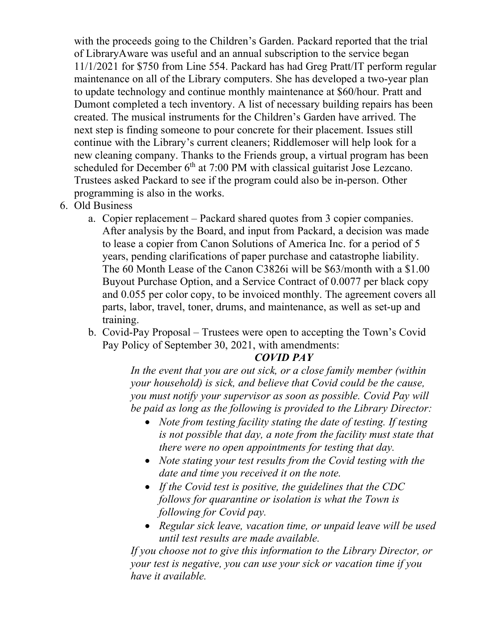with the proceeds going to the Children's Garden. Packard reported that the trial of LibraryAware was useful and an annual subscription to the service began 11/1/2021 for \$750 from Line 554. Packard has had Greg Pratt/IT perform regular maintenance on all of the Library computers. She has developed a two-year plan to update technology and continue monthly maintenance at \$60/hour. Pratt and Dumont completed a tech inventory. A list of necessary building repairs has been created. The musical instruments for the Children's Garden have arrived. The next step is finding someone to pour concrete for their placement. Issues still continue with the Library's current cleaners; Riddlemoser will help look for a new cleaning company. Thanks to the Friends group, a virtual program has been scheduled for December 6<sup>th</sup> at 7:00 PM with classical guitarist Jose Lezcano. Trustees asked Packard to see if the program could also be in-person. Other programming is also in the works.

- 6. Old Business
	- a. Copier replacement Packard shared quotes from 3 copier companies. After analysis by the Board, and input from Packard, a decision was made to lease a copier from Canon Solutions of America Inc. for a period of 5 years, pending clarifications of paper purchase and catastrophe liability. The 60 Month Lease of the Canon C3826i will be \$63/month with a \$1.00 Buyout Purchase Option, and a Service Contract of 0.0077 per black copy and 0.055 per color copy, to be invoiced monthly. The agreement covers all parts, labor, travel, toner, drums, and maintenance, as well as set-up and training.
	- b. Covid-Pay Proposal Trustees were open to accepting the Town's Covid Pay Policy of September 30, 2021, with amendments:

## *COVID PAY*

*In the event that you are out sick, or a close family member (within your household) is sick, and believe that Covid could be the cause, you must notify your supervisor as soon as possible. Covid Pay will be paid as long as the following is provided to the Library Director:*

- *Note from testing facility stating the date of testing. If testing is not possible that day, a note from the facility must state that there were no open appointments for testing that day.*
- *Note stating your test results from the Covid testing with the date and time you received it on the note.*
- *If the Covid test is positive, the guidelines that the CDC follows for quarantine or isolation is what the Town is following for Covid pay.*
- *Regular sick leave, vacation time, or unpaid leave will be used until test results are made available.*

*If you choose not to give this information to the Library Director, or your test is negative, you can use your sick or vacation time if you have it available.*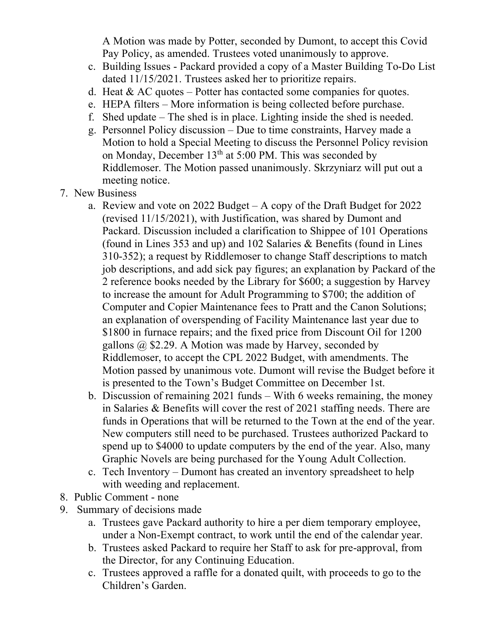A Motion was made by Potter, seconded by Dumont, to accept this Covid Pay Policy, as amended. Trustees voted unanimously to approve.

- c. Building Issues Packard provided a copy of a Master Building To-Do List dated 11/15/2021. Trustees asked her to prioritize repairs.
- d. Heat  $& AC$  quotes Potter has contacted some companies for quotes.
- e. HEPA filters More information is being collected before purchase.
- f. Shed update The shed is in place. Lighting inside the shed is needed.
- g. Personnel Policy discussion Due to time constraints, Harvey made a Motion to hold a Special Meeting to discuss the Personnel Policy revision on Monday, December 13<sup>th</sup> at 5:00 PM. This was seconded by Riddlemoser. The Motion passed unanimously. Skrzyniarz will put out a meeting notice.
- 7. New Business
	- a. Review and vote on 2022 Budget A copy of the Draft Budget for 2022 (revised 11/15/2021), with Justification, was shared by Dumont and Packard. Discussion included a clarification to Shippee of 101 Operations (found in Lines 353 and up) and 102 Salaries & Benefits (found in Lines 310-352); a request by Riddlemoser to change Staff descriptions to match job descriptions, and add sick pay figures; an explanation by Packard of the 2 reference books needed by the Library for \$600; a suggestion by Harvey to increase the amount for Adult Programming to \$700; the addition of Computer and Copier Maintenance fees to Pratt and the Canon Solutions; an explanation of overspending of Facility Maintenance last year due to \$1800 in furnace repairs; and the fixed price from Discount Oil for 1200 gallons  $\omega$  \$2.29. A Motion was made by Harvey, seconded by Riddlemoser, to accept the CPL 2022 Budget, with amendments. The Motion passed by unanimous vote. Dumont will revise the Budget before it is presented to the Town's Budget Committee on December 1st.
	- b. Discussion of remaining 2021 funds With 6 weeks remaining, the money in Salaries & Benefits will cover the rest of 2021 staffing needs. There are funds in Operations that will be returned to the Town at the end of the year. New computers still need to be purchased. Trustees authorized Packard to spend up to \$4000 to update computers by the end of the year. Also, many Graphic Novels are being purchased for the Young Adult Collection.
	- c. Tech Inventory Dumont has created an inventory spreadsheet to help with weeding and replacement.
- 8. Public Comment none
- 9. Summary of decisions made
	- a. Trustees gave Packard authority to hire a per diem temporary employee, under a Non-Exempt contract, to work until the end of the calendar year.
	- b. Trustees asked Packard to require her Staff to ask for pre-approval, from the Director, for any Continuing Education.
	- c. Trustees approved a raffle for a donated quilt, with proceeds to go to the Children's Garden.